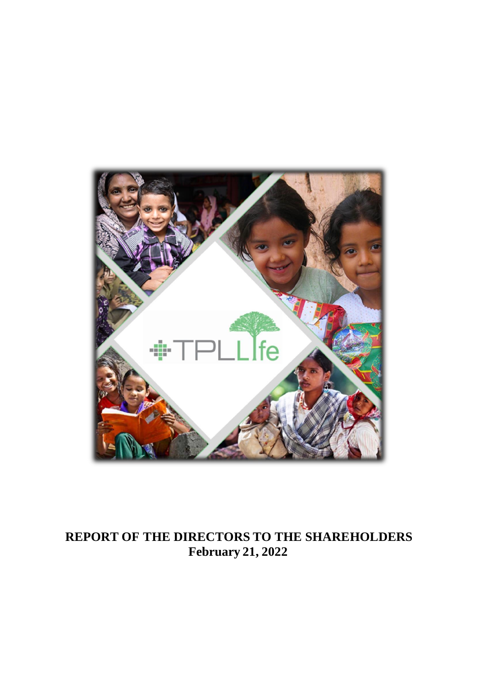

# **REPORT OF THE DIRECTORS TO THE SHAREHOLDERS February 21, 2022**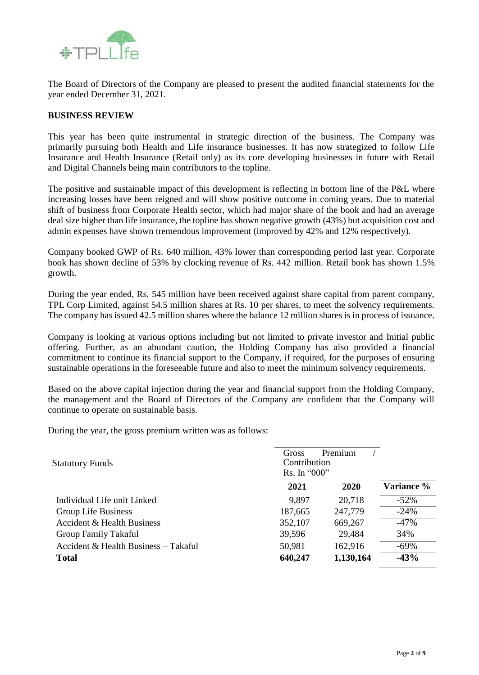

The Board of Directors of the Company are pleased to present the audited financial statements for the year ended December 31, 2021.

#### **BUSINESS REVIEW**

This year has been quite instrumental in strategic direction of the business. The Company was primarily pursuing both Health and Life insurance businesses. It has now strategized to follow Life Insurance and Health Insurance (Retail only) as its core developing businesses in future with Retail and Digital Channels being main contributors to the topline.

The positive and sustainable impact of this development is reflecting in bottom line of the P&L where increasing losses have been reigned and will show positive outcome in coming years. Due to material shift of business from Corporate Health sector, which had major share of the book and had an average deal size higher than life insurance, the topline has shown negative growth (43%) but acquisition cost and admin expenses have shown tremendous improvement (improved by 42% and 12% respectively).

Company booked GWP of Rs. 640 million, 43% lower than corresponding period last year. Corporate book has shown decline of 53% by clocking revenue of Rs. 442 million. Retail book has shown 1.5% growth.

During the year ended, Rs. 545 million have been received against share capital from parent company, TPL Corp Limited, against 54.5 million shares at Rs. 10 per shares, to meet the solvency requirements. The company has issued 42.5 million shares where the balance 12 million shares is in process of issuance.

Company is looking at various options including but not limited to private investor and Initial public offering. Further, as an abundant caution, the Holding Company has also provided a financial commitment to continue its financial support to the Company, if required, for the purposes of ensuring sustainable operations in the foreseeable future and also to meet the minimum solvency requirements.

Based on the above capital injection during the year and financial support from the Holding Company, the management and the Board of Directors of the Company are confident that the Company will continue to operate on sustainable basis.

During the year, the gross premium written was as follows:

| <b>Statutory Funds</b>               | Gross<br>Contribution<br>Rs. In "000" | Premium   |            |
|--------------------------------------|---------------------------------------|-----------|------------|
|                                      | 2021                                  | 2020      | Variance % |
| Individual Life unit Linked          | 9,897                                 | 20,718    | $-52%$     |
| Group Life Business                  | 187,665                               | 247,779   | $-24%$     |
| Accident & Health Business           | 352,107                               | 669,267   | $-47%$     |
| Group Family Takaful                 | 39,596                                | 29,484    | 34%        |
| Accident & Health Business - Takaful | 50,981                                | 162,916   | $-69%$     |
| <b>Total</b>                         | 640,247                               | 1,130,164 | $-43%$     |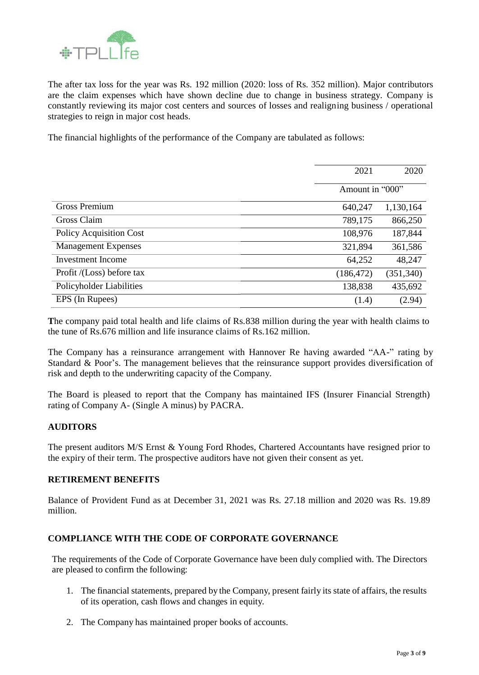

The after tax loss for the year was Rs. 192 million (2020: loss of Rs. 352 million). Major contributors are the claim expenses which have shown decline due to change in business strategy. Company is constantly reviewing its major cost centers and sources of losses and realigning business / operational strategies to reign in major cost heads.

The financial highlights of the performance of the Company are tabulated as follows:

|                            | 2021            | 2020       |
|----------------------------|-----------------|------------|
|                            | Amount in "000" |            |
| Gross Premium              | 640,247         | 1,130,164  |
| Gross Claim                | 789,175         | 866,250    |
| Policy Acquisition Cost    | 108,976         | 187,844    |
| <b>Management Expenses</b> | 321,894         | 361,586    |
| Investment Income          | 64,252          | 48,247     |
| Profit /(Loss) before tax  | (186, 472)      | (351, 340) |
| Policyholder Liabilities   | 138,838         | 435,692    |
| EPS (In Rupees)            | (1.4)           | (2.94)     |

**T**he company paid total health and life claims of Rs.838 million during the year with health claims to the tune of Rs.676 million and life insurance claims of Rs.162 million.

The Company has a reinsurance arrangement with Hannover Re having awarded "AA-" rating by Standard & Poor's. The management believes that the reinsurance support provides diversification of risk and depth to the underwriting capacity of the Company.

The Board is pleased to report that the Company has maintained IFS (Insurer Financial Strength) rating of Company A- (Single A minus) by PACRA.

#### **AUDITORS**

The present auditors M/S Ernst & Young Ford Rhodes, Chartered Accountants have resigned prior to the expiry of their term. The prospective auditors have not given their consent as yet.

#### **RETIREMENT BENEFITS**

Balance of Provident Fund as at December 31, 2021 was Rs. 27.18 million and 2020 was Rs. 19.89 million.

#### **COMPLIANCE WITH THE CODE OF CORPORATE GOVERNANCE**

The requirements of the Code of Corporate Governance have been duly complied with. The Directors are pleased to confirm the following:

- 1. The financial statements, prepared by the Company, present fairly its state of affairs, the results of its operation, cash flows and changes in equity.
- 2. The Company has maintained proper books of accounts.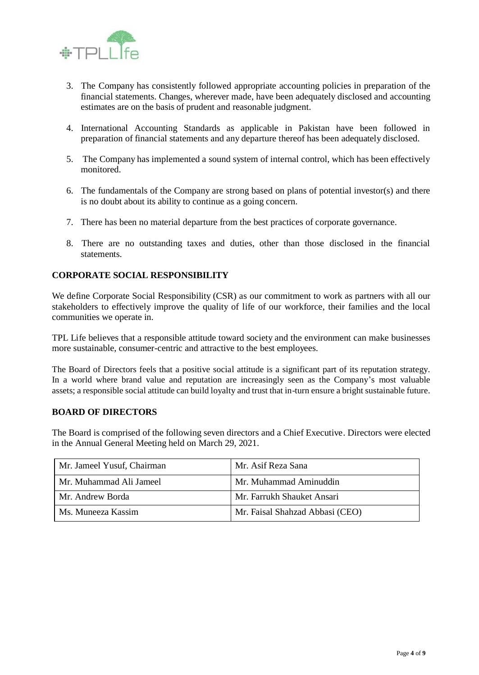

- 3. The Company has consistently followed appropriate accounting policies in preparation of the financial statements. Changes, wherever made, have been adequately disclosed and accounting estimates are on the basis of prudent and reasonable judgment.
- 4. International Accounting Standards as applicable in Pakistan have been followed in preparation of financial statements and any departure thereof has been adequately disclosed.
- 5. The Company has implemented a sound system of internal control, which has been effectively monitored.
- 6. The fundamentals of the Company are strong based on plans of potential investor(s) and there is no doubt about its ability to continue as a going concern.
- 7. There has been no material departure from the best practices of corporate governance.
- 8. There are no outstanding taxes and duties, other than those disclosed in the financial statements.

#### **CORPORATE SOCIAL RESPONSIBILITY**

We define Corporate Social Responsibility (CSR) as our commitment to work as partners with all our stakeholders to effectively improve the quality of life of our workforce, their families and the local communities we operate in.

TPL Life believes that a responsible attitude toward society and the environment can make businesses more sustainable, consumer-centric and attractive to the best employees.

The Board of Directors feels that a positive social attitude is a significant part of its reputation strategy. In a world where brand value and reputation are increasingly seen as the Company's most valuable assets; a responsible social attitude can build loyalty and trust that in-turn ensure a bright sustainable future.

#### **BOARD OF DIRECTORS**

The Board is comprised of the following seven directors and a Chief Executive. Directors were elected in the Annual General Meeting held on March 29, 2021.

| Mr. Jameel Yusuf, Chairman | Mr. Asif Reza Sana              |
|----------------------------|---------------------------------|
| Mr. Muhammad Ali Jameel    | Mr. Muhammad Aminuddin          |
| Mr. Andrew Borda           | Mr. Farrukh Shauket Ansari      |
| Ms. Muneeza Kassim         | Mr. Faisal Shahzad Abbasi (CEO) |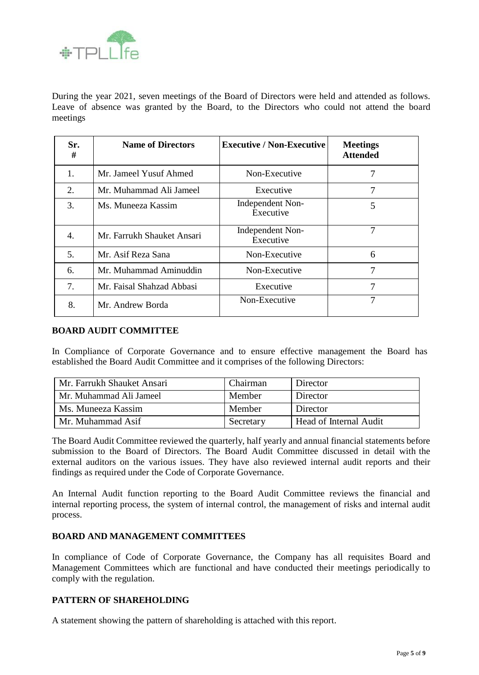

During the year 2021, seven meetings of the Board of Directors were held and attended as follows. Leave of absence was granted by the Board, to the Directors who could not attend the board meetings

| Sr.<br>#       | <b>Name of Directors</b>   | <b>Executive / Non-Executive</b> | <b>Meetings</b><br><b>Attended</b> |
|----------------|----------------------------|----------------------------------|------------------------------------|
| $\mathbf{1}$ . | Mr. Jameel Yusuf Ahmed     | Non-Executive                    |                                    |
| 2.             | Mr. Muhammad Ali Jameel    | Executive                        | 7                                  |
| 3.             | Ms. Muneeza Kassim         | Independent Non-<br>Executive    | 5                                  |
| 4.             | Mr. Farrukh Shauket Ansari | Independent Non-<br>Executive    |                                    |
| 5.             | Mr. Asif Reza Sana         | Non-Executive                    | 6                                  |
| 6.             | Mr. Muhammad Aminuddin     | Non-Executive                    | 7                                  |
| 7.             | Mr. Faisal Shahzad Abbasi  | Executive                        | 7                                  |
| 8.             | Mr. Andrew Borda           | Non-Executive                    | 7                                  |

#### **BOARD AUDIT COMMITTEE**

In Compliance of Corporate Governance and to ensure effective management the Board has established the Board Audit Committee and it comprises of the following Directors:

| Mr. Farrukh Shauket Ansari | Chairman  | Director               |
|----------------------------|-----------|------------------------|
| Mr. Muhammad Ali Jameel    | Member    | Director               |
| Ms. Muneeza Kassim         | Member    | Director               |
| Mr. Muhammad Asif          | Secretary | Head of Internal Audit |

The Board Audit Committee reviewed the quarterly, half yearly and annual financial statements before submission to the Board of Directors. The Board Audit Committee discussed in detail with the external auditors on the various issues. They have also reviewed internal audit reports and their findings as required under the Code of Corporate Governance.

An Internal Audit function reporting to the Board Audit Committee reviews the financial and internal reporting process, the system of internal control, the management of risks and internal audit process.

#### **BOARD AND MANAGEMENT COMMITTEES**

In compliance of Code of Corporate Governance, the Company has all requisites Board and Management Committees which are functional and have conducted their meetings periodically to comply with the regulation.

#### **PATTERN OF SHAREHOLDING**

A statement showing the pattern of shareholding is attached with this report.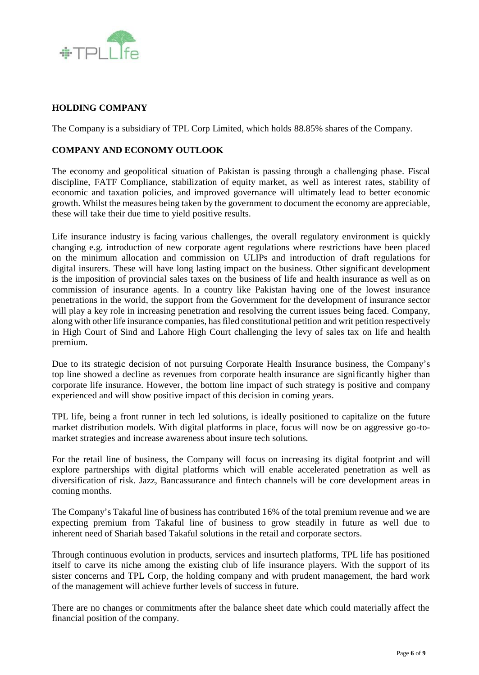

#### **HOLDING COMPANY**

The Company is a subsidiary of TPL Corp Limited, which holds 88.85% shares of the Company.

#### **COMPANY AND ECONOMY OUTLOOK**

The economy and geopolitical situation of Pakistan is passing through a challenging phase. Fiscal discipline, FATF Compliance, stabilization of equity market, as well as interest rates, stability of economic and taxation policies, and improved governance will ultimately lead to better economic growth. Whilst the measures being taken by the government to document the economy are appreciable, these will take their due time to yield positive results.

Life insurance industry is facing various challenges, the overall regulatory environment is quickly changing e.g. introduction of new corporate agent regulations where restrictions have been placed on the minimum allocation and commission on ULIPs and introduction of draft regulations for digital insurers. These will have long lasting impact on the business. Other significant development is the imposition of provincial sales taxes on the business of life and health insurance as well as on commission of insurance agents. In a country like Pakistan having one of the lowest insurance penetrations in the world, the support from the Government for the development of insurance sector will play a key role in increasing penetration and resolving the current issues being faced. Company, along with other life insurance companies, has filed constitutional petition and writ petition respectively in High Court of Sind and Lahore High Court challenging the levy of sales tax on life and health premium.

Due to its strategic decision of not pursuing Corporate Health Insurance business, the Company's top line showed a decline as revenues from corporate health insurance are significantly higher than corporate life insurance. However, the bottom line impact of such strategy is positive and company experienced and will show positive impact of this decision in coming years.

TPL life, being a front runner in tech led solutions, is ideally positioned to capitalize on the future market distribution models. With digital platforms in place, focus will now be on aggressive go-tomarket strategies and increase awareness about insure tech solutions.

For the retail line of business, the Company will focus on increasing its digital footprint and will explore partnerships with digital platforms which will enable accelerated penetration as well as diversification of risk. Jazz, Bancassurance and fintech channels will be core development areas in coming months.

The Company's Takaful line of business has contributed 16% of the total premium revenue and we are expecting premium from Takaful line of business to grow steadily in future as well due to inherent need of Shariah based Takaful solutions in the retail and corporate sectors.

Through continuous evolution in products, services and insurtech platforms, TPL life has positioned itself to carve its niche among the existing club of life insurance players. With the support of its sister concerns and TPL Corp, the holding company and with prudent management, the hard work of the management will achieve further levels of success in future.

There are no changes or commitments after the balance sheet date which could materially affect the financial position of the company.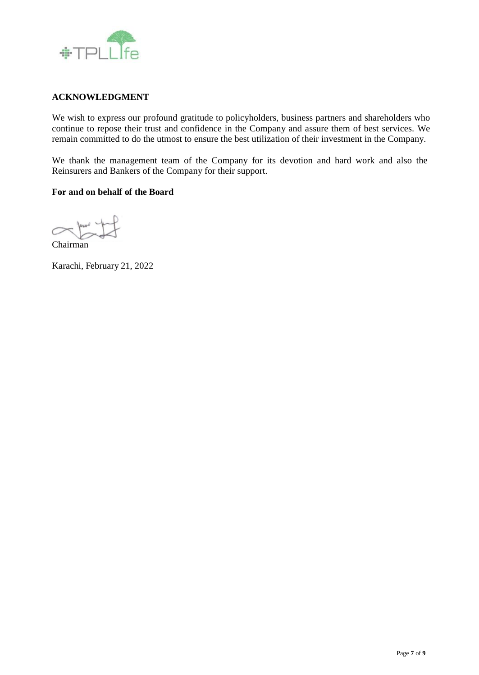

#### **ACKNOWLEDGMENT**

We wish to express our profound gratitude to policyholders, business partners and shareholders who continue to repose their trust and confidence in the Company and assure them of best services. We remain committed to do the utmost to ensure the best utilization of their investment in the Company.

We thank the management team of the Company for its devotion and hard work and also the Reinsurers and Bankers of the Company for their support.

#### **For and on behalf of the Board**

 $\sim$ 

Chairman

Karachi, February 21, 2022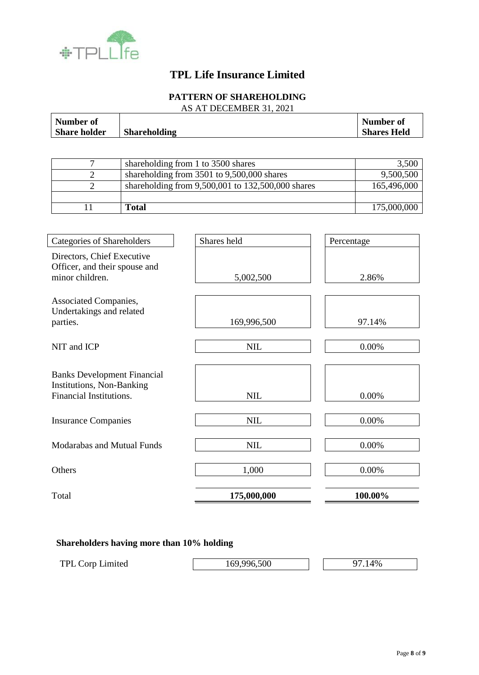

## **TPL Life Insurance Limited**

## **PATTERN OF SHAREHOLDING**

AS AT DECEMBER 31, 2021

| <b>Number of</b><br><b>Share holder</b>                                                           | <b>Shareholding</b> |                                                   | <b>Number of</b><br><b>Shares Held</b> |
|---------------------------------------------------------------------------------------------------|---------------------|---------------------------------------------------|----------------------------------------|
|                                                                                                   |                     |                                                   |                                        |
| $\overline{7}$                                                                                    |                     | shareholding from 1 to 3500 shares                | 3,500                                  |
| $\overline{2}$                                                                                    |                     | shareholding from 3501 to 9,500,000 shares        | 9,500,500                              |
| $\overline{2}$                                                                                    |                     | shareholding from 9,500,001 to 132,500,000 shares | 165,496,000                            |
| 11                                                                                                | <b>Total</b>        |                                                   | 175,000,000                            |
|                                                                                                   |                     |                                                   |                                        |
| <b>Categories of Shareholders</b>                                                                 |                     | Shares held                                       | Percentage                             |
| Directors, Chief Executive<br>Officer, and their spouse and<br>minor children.                    |                     | 5,002,500                                         | 2.86%                                  |
| Associated Companies,<br>Undertakings and related<br>parties.                                     |                     | 169,996,500                                       | 97.14%                                 |
| NIT and ICP                                                                                       |                     | <b>NIL</b>                                        | 0.00%                                  |
| <b>Banks Development Financial</b><br><b>Institutions, Non-Banking</b><br>Financial Institutions. |                     | <b>NIL</b>                                        | 0.00%                                  |
| <b>Insurance Companies</b>                                                                        |                     | <b>NIL</b>                                        | 0.00%                                  |
| <b>Modarabas and Mutual Funds</b>                                                                 |                     | <b>NIL</b>                                        | 0.00%                                  |
| Others                                                                                            |                     | 1,000                                             | 0.00%                                  |
| Total                                                                                             |                     | 175,000,000                                       | 100.00%                                |

## **Shareholders having more than 10% holding**

| <b>TPL Corp Limited</b> | 169,996,500 | 4% |
|-------------------------|-------------|----|
|                         |             |    |